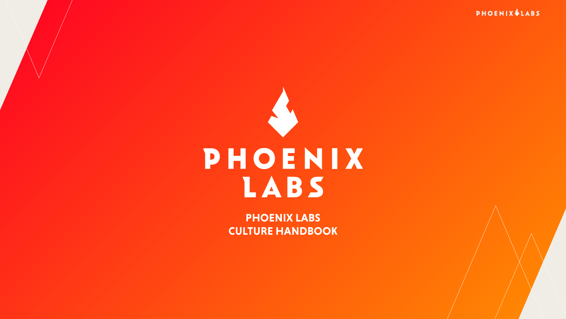

# PHOENIX IABS

**PHOENIX LABS CULTURE HANDBOOK**

#### **PHOENIX \$LABS**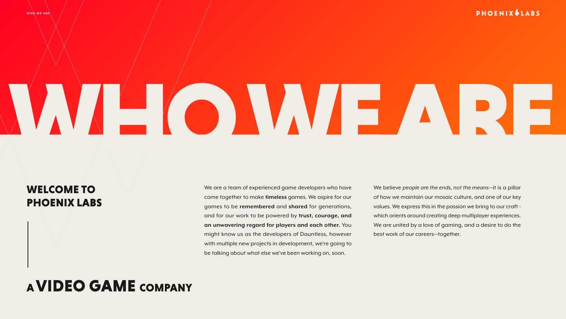

#### WELCOME TO PHOENIX LABS

### A VIDEO GAME COMPANY

We are a team of experienced game developers who have come together to make **timeless** games. We aspire for our games to be **remembered** and **shared** for generations, and for our work to be powered by **trust, courage, and an unwavering regard for players and each other.** You might know us as the developers of Dauntless, however with multiple new projects in development, we're going to be talking about what else we've been working on, soon.

We believe *people are the ends, not the means*—it is a pillar of how we maintain our mosaic culture, and one of our key values. We express this in the passion we bring to our craft which orients around creating deep multiplayer experiences. We are united by a love of gaming, and a desire to do the best work of our careers—together.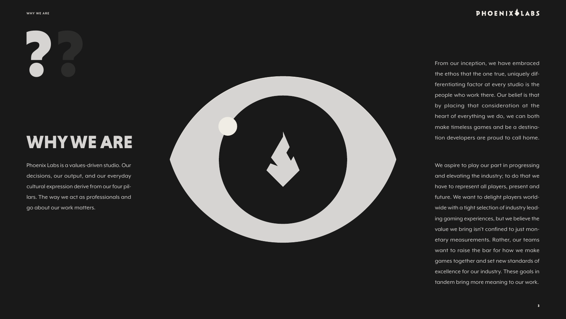### WHY WE ARE

Phoenix Labs is a values-driven studio. Our decisions, our output, and our everyday cultural expression derive from our four pil lars. The way we act as professionals and go about our work matters.



#### **PHOENIX \$LABS**

From our inception, we have embraced the ethos that the one true, uniquely differentiating factor at every studio is the people who work there. Our belief is that by placing that consideration at the heart of everything we do, we can both make timeless games and be a destina tion developers are proud to call home.

We aspire to play our part in progressing and elevating the industry; to do that we have to represent all players, present and future. We want to delight players world wide with a tight selection of industry lead ing gaming experiences, but we believe the value we bring isn't confined to just mon etary measurements. Rather, our teams want to raise the bar for how we make games together and set new standards of excellence for our industry. These goals in tandem bring more meaning to our work.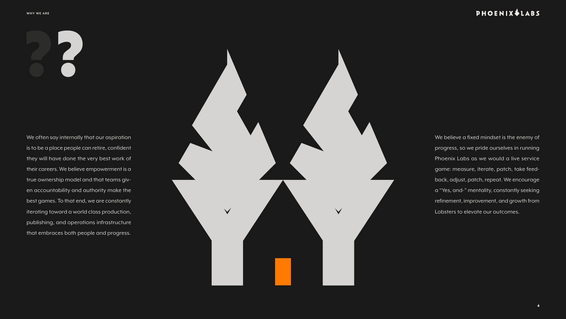??

We often say internally that our aspiration is to be a place people can retire, confident they will have done the very best work of their careers. We believe empowerment is a true ownership model and that teams given accountability and authority make the best games. To that end, we are constantly iterating toward a world class production, publishing, and operations infrastructure that embraces both people and progress.



#### **PHOENIX \$LABS**

We believe a fixed mindset is the enemy of progress, so we pride ourselves in running Phoenix Labs as we would a live service game: measure, iterate, patch, take feedback, adjust, patch, repeat. We encourage a "Yes, and-" mentality, constantly seeking refinement, improvement, and growth from Lobsters to elevate our outcomes.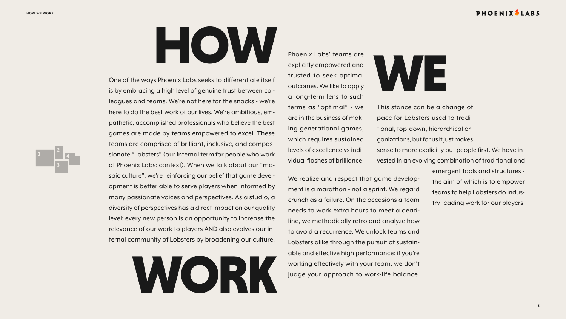5



This stance can be a change of pace for Lobsters used to traditional, top-down, hierarchical organizations, but for us it just makes sense to more explicitly put people first. We have invested in an evolving combination of traditional and

Phoenix Labs' teams are explicitly empowered and trusted to seek optimal outcomes. We like to apply a long-term lens to such terms as "optimal" - we are in the business of making generational games, which requires sustained levels of excellence vs individual flashes of brilliance.

emergent tools and structures the aim of which is to empower teams to help Lobsters do industry-leading work for our players. We realize and respect that game development is a marathon - not a sprint. We regard crunch as a failure. On the occasions a team needs to work extra hours to meet a deadline, we methodically retro and analyze how to avoid a recurrence. We unlock teams and Lobsters alike through the pursuit of sustainable and effective high performance: if you're working effectively with your team, we don't judge your approach to work-life balance.

#### PHOENIXVLABS

One of the ways Phoenix Labs seeks to differentiate itself is by embracing a high level of genuine trust between colleagues and teams. We're not here for the snacks - we're here to do the best work of our lives. We're ambitious, empathetic, accomplished professionals who believe the best games are made by teams empowered to excel. These teams are comprised of brilliant, inclusive, and compassionate "Lobsters" (our internal term for people who work at Phoenix Labs: context). When we talk about our "mosaic culture", we're reinforcing our belief that game development is better able to serve players when informed by many passionate voices and perspectives. As a studio, a diversity of perspectives has a direct impact on our quality level; every new person is an opportunity to increase the relevance of our work to players AND also evolves our internal community of Lobsters by broadening our culture.

HOW



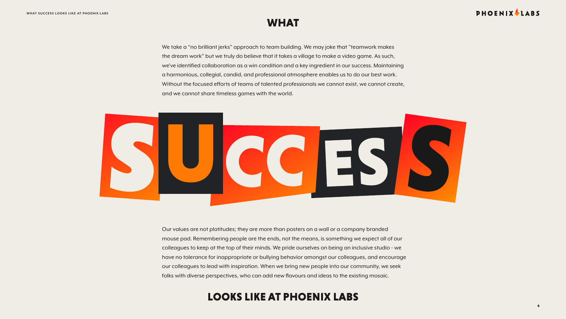We take a "no brilliant jerks" approach to team building. We may joke that "teamwork makes the dream work" but we truly do believe that it takes a village to make a video game. As such, we've identified collaboration as a win condition and a key ingredient in our success. Maintaining a harmonious, collegial, candid, and professional atmosphere enables us to do our best work. Without the focused efforts of teams of talented professionals we cannot exist, we cannot create, and we cannot share timeless games with the world.



### WHAT

### LOOKS LIKE AT PHOENIX LABS

#### PHOENIX LABS

Our values are not platitudes; they are more than posters on a wall or a company branded mouse pad. Remembering people are the ends, not the means, is something we expect all of our colleagues to keep at the top of their minds. We pride ourselves on being an inclusive studio - we have no tolerance for inappropriate or bullying behavior amongst our colleagues, and encourage our colleagues to lead with inspiration. When we bring new people into our community, we seek folks with diverse perspectives, who can add new flavours and ideas to the existing mosaic.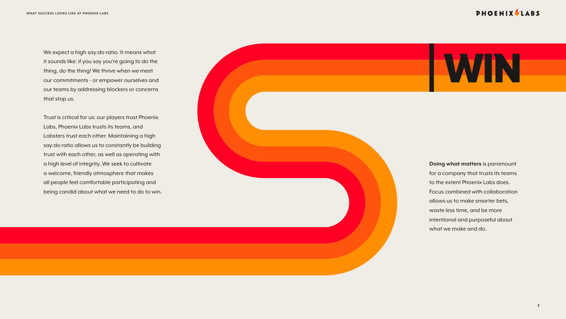

#### PHOENIX LABS



it sounds like: if you say you're going to do the thing, do the thing! We thrive when we meet our commitments - or empower ourselves and our teams by addressing blockers or concerns that stop us.

Trust is critical for us: our players trust Phoenix Labs, Phoenix Labs trusts its teams, and Lobsters trust each other. Maintaining a high say:do ratio allows us to constantly be building trust with each other, as well as operating with a high level of integrity. We seek to cultivate a welcome, friendly atmosphere that makes all people feel comfortable participating and being candid about what we need to do to win.

**Doing what matters** is paramount for a company that trusts its teams to the extent Phoenix Labs does. Focus combined with collaboration allows us to make smarter bets, waste less time, and be more intentional and purposeful about what we make and do.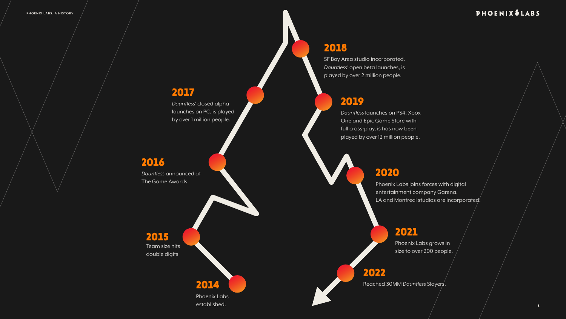8

Phoenix Labs established.

*Dauntless* announced at The Game Awards.

*Dauntless* launches on PS4, Xbox One and Epic Game Store with full cross-play, is has now been played by over 12 million people.

*Dauntless'* closed alpha launches on PC, is played by over 1 million people.

SF Bay Area studio incorporated. *Dauntless'* open beta launches, is played by over 2 million people.

Team size hits double digits 2015

Phoenix Labs joins forces with digital

entertainment company Garena.

LA and Montreal studios are incorporated.

Phoenix Labs grows in size to over 200 people.

2014 Reached 30MM *Dauntless* Slayers.

#### PHOENIX & LABS

#### 2016

2017

#### 2018

### 2019

2020

#### 2021

2022